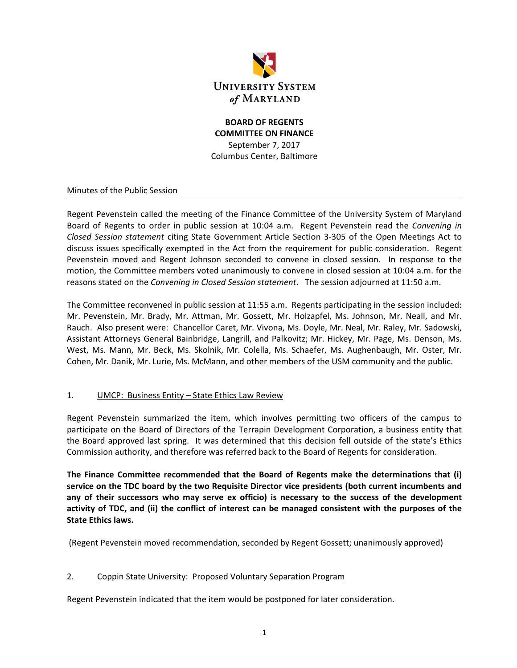

# **BOARD OF REGENTS COMMITTEE ON FINANCE** September 7, 2017 Columbus Center, Baltimore

### Minutes of the Public Session

Regent Pevenstein called the meeting of the Finance Committee of the University System of Maryland Board of Regents to order in public session at 10:04 a.m. Regent Pevenstein read the *Convening in Closed Session statement* citing State Government Article Section 3‐305 of the Open Meetings Act to discuss issues specifically exempted in the Act from the requirement for public consideration. Regent Pevenstein moved and Regent Johnson seconded to convene in closed session. In response to the motion, the Committee members voted unanimously to convene in closed session at 10:04 a.m. for the reasons stated on the *Convening in Closed Session statement*. The session adjourned at 11:50 a.m.

The Committee reconvened in public session at 11:55 a.m. Regents participating in the session included: Mr. Pevenstein, Mr. Brady, Mr. Attman, Mr. Gossett, Mr. Holzapfel, Ms. Johnson, Mr. Neall, and Mr. Rauch. Also present were: Chancellor Caret, Mr. Vivona, Ms. Doyle, Mr. Neal, Mr. Raley, Mr. Sadowski, Assistant Attorneys General Bainbridge, Langrill, and Palkovitz; Mr. Hickey, Mr. Page, Ms. Denson, Ms. West, Ms. Mann, Mr. Beck, Ms. Skolnik, Mr. Colella, Ms. Schaefer, Ms. Aughenbaugh, Mr. Oster, Mr. Cohen, Mr. Danik, Mr. Lurie, Ms. McMann, and other members of the USM community and the public.

### 1. UMCP: Business Entity – State Ethics Law Review

Regent Pevenstein summarized the item, which involves permitting two officers of the campus to participate on the Board of Directors of the Terrapin Development Corporation, a business entity that the Board approved last spring. It was determined that this decision fell outside of the state's Ethics Commission authority, and therefore was referred back to the Board of Regents for consideration.

**The Finance Committee recommended that the Board of Regents make the determinations that (i) service on the TDC board by the two Requisite Director vice presidents (both current incumbents and any of their successors who may serve ex officio) is necessary to the success of the development** activity of TDC, and (ii) the conflict of interest can be managed consistent with the purposes of the **State Ethics laws.**

(Regent Pevenstein moved recommendation, seconded by Regent Gossett; unanimously approved)

#### 2. Coppin State University: Proposed Voluntary Separation Program

Regent Pevenstein indicated that the item would be postponed for later consideration.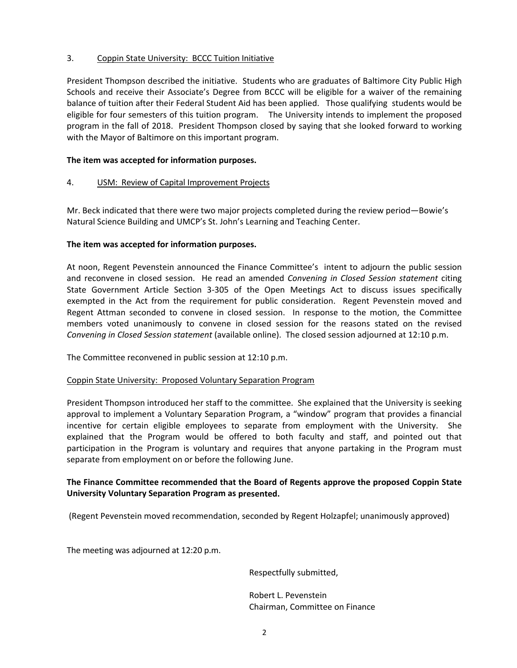### 3. Coppin State University: BCCC Tuition Initiative

President Thompson described the initiative. Students who are graduates of Baltimore City Public High Schools and receive their Associate's Degree from BCCC will be eligible for a waiver of the remaining balance of tuition after their Federal Student Aid has been applied. Those qualifying students would be eligible for four semesters of this tuition program. The University intends to implement the proposed program in the fall of 2018. President Thompson closed by saying that she looked forward to working with the Mayor of Baltimore on this important program.

### **The item was accepted for information purposes.**

4. USM: Review of Capital Improvement Projects

Mr. Beck indicated that there were two major projects completed during the review period—Bowie's Natural Science Building and UMCP's St. John's Learning and Teaching Center.

### **The item was accepted for information purposes.**

At noon, Regent Pevenstein announced the Finance Committee's intent to adjourn the public session and reconvene in closed session. He read an amended *Convening in Closed Session statement* citing State Government Article Section 3‐305 of the Open Meetings Act to discuss issues specifically exempted in the Act from the requirement for public consideration. Regent Pevenstein moved and Regent Attman seconded to convene in closed session. In response to the motion, the Committee members voted unanimously to convene in closed session for the reasons stated on the revised *Convening in Closed Session statement* (available online). The closed session adjourned at 12:10 p.m.

The Committee reconvened in public session at 12:10 p.m.

### Coppin State University: Proposed Voluntary Separation Program

President Thompson introduced her staff to the committee. She explained that the University is seeking approval to implement a Voluntary Separation Program, a "window" program that provides a financial incentive for certain eligible employees to separate from employment with the University. She explained that the Program would be offered to both faculty and staff, and pointed out that participation in the Program is voluntary and requires that anyone partaking in the Program must separate from employment on or before the following June.

## **The Finance Committee recommended that the Board of Regents approve the proposed Coppin State University Voluntary Separation Program as presented.**

(Regent Pevenstein moved recommendation, seconded by Regent Holzapfel; unanimously approved)

The meeting was adjourned at 12:20 p.m.

Respectfully submitted,

 Robert L. Pevenstein Chairman, Committee on Finance